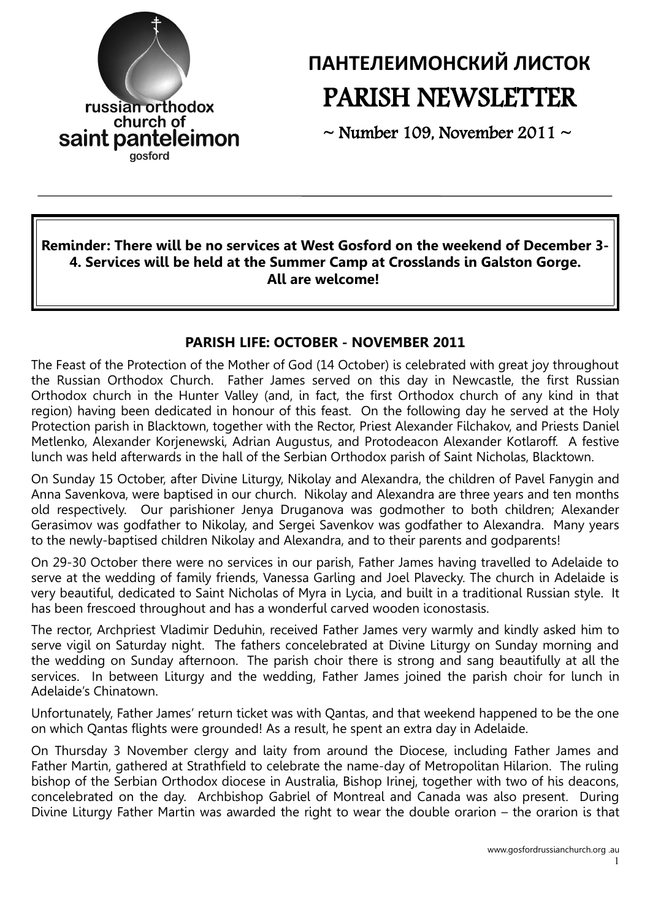

# **ПАНТЕЛЕИМОНСКИЙ ЛИСТОК** PARISH NEWSLETTER

 $\sim$  Number 109. November 2011  $\sim$ 

#### **Reminder: There will be no services at West Gosford on the weekend of December 3- 4. Services will be held at the Summer Camp at Crosslands in Galston Gorge. All are welcome!**

#### **PARISH LIFE: OCTOBER - NOVEMBER 2011**

The Feast of the Protection of the Mother of God (14 October) is celebrated with great joy throughout the Russian Orthodox Church. Father James served on this day in Newcastle, the first Russian Orthodox church in the Hunter Valley (and, in fact, the first Orthodox church of any kind in that region) having been dedicated in honour of this feast. On the following day he served at the Holy Protection parish in Blacktown, together with the Rector, Priest Alexander Filchakov, and Priests Daniel Metlenko, Alexander Korjenewski, Adrian Augustus, and Protodeacon Alexander Kotlaroff. A festive lunch was held afterwards in the hall of the Serbian Orthodox parish of Saint Nicholas, Blacktown.

On Sunday 15 October, after Divine Liturgy, Nikolay and Alexandra, the children of Pavel Fanygin and Anna Savenkova, were baptised in our church. Nikolay and Alexandra are three years and ten months old respectively. Our parishioner Jenya Druganova was godmother to both children; Alexander Gerasimov was godfather to Nikolay, and Sergei Savenkov was godfather to Alexandra. Many years to the newly-baptised children Nikolay and Alexandra, and to their parents and godparents!

On 29-30 October there were no services in our parish, Father James having travelled to Adelaide to serve at the wedding of family friends, Vanessa Garling and Joel Plavecky. The church in Adelaide is very beautiful, dedicated to Saint Nicholas of Myra in Lycia, and built in a traditional Russian style. It has been frescoed throughout and has a wonderful carved wooden iconostasis.

The rector, Archpriest Vladimir Deduhin, received Father James very warmly and kindly asked him to serve vigil on Saturday night. The fathers concelebrated at Divine Liturgy on Sunday morning and the wedding on Sunday afternoon. The parish choir there is strong and sang beautifully at all the services. In between Liturgy and the wedding, Father James joined the parish choir for lunch in Adelaide's Chinatown.

Unfortunately, Father James' return ticket was with Qantas, and that weekend happened to be the one on which Qantas flights were grounded! As a result, he spent an extra day in Adelaide.

On Thursday 3 November clergy and laity from around the Diocese, including Father James and Father Martin, gathered at Strathfield to celebrate the name-day of Metropolitan Hilarion. The ruling bishop of the Serbian Orthodox diocese in Australia, Bishop Irinej, together with two of his deacons, concelebrated on the day. Archbishop Gabriel of Montreal and Canada was also present. During Divine Liturgy Father Martin was awarded the right to wear the double orarion – the orarion is that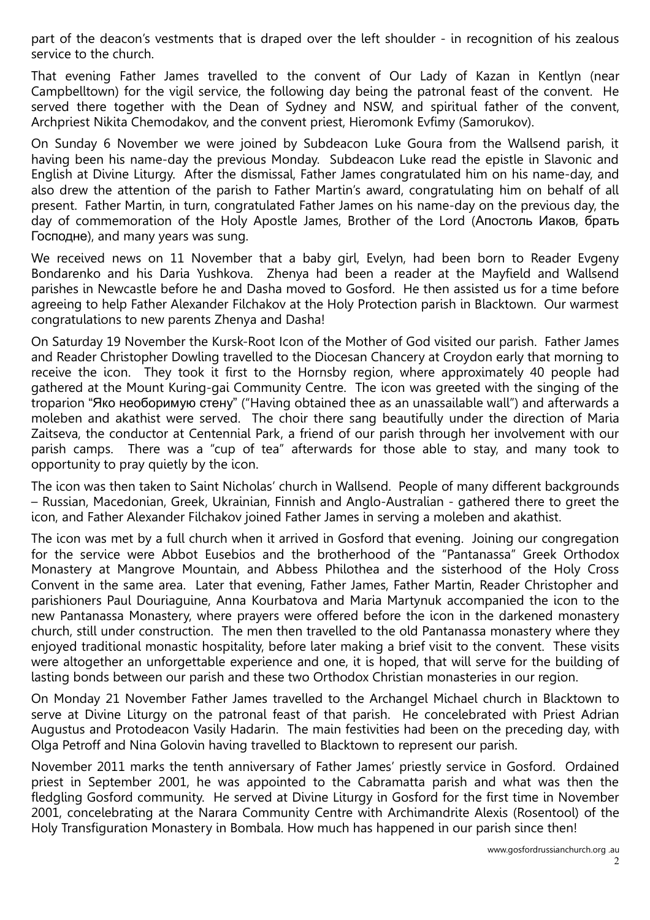part of the deacon's vestments that is draped over the left shoulder - in recognition of his zealous service to the church.

That evening Father James travelled to the convent of Our Lady of Kazan in Kentlyn (near Campbelltown) for the vigil service, the following day being the patronal feast of the convent. He served there together with the Dean of Sydney and NSW, and spiritual father of the convent, Archpriest Nikita Chemodakov, and the convent priest, Hieromonk Evfimy (Samorukov).

On Sunday 6 November we were joined by Subdeacon Luke Goura from the Wallsend parish, it having been his name-day the previous Monday. Subdeacon Luke read the epistle in Slavonic and English at Divine Liturgy. After the dismissal, Father James congratulated him on his name-day, and also drew the attention of the parish to Father Martin's award, congratulating him on behalf of all present. Father Martin, in turn, congratulated Father James on his name-day on the previous day, the day of commemoration of the Holy Apostle James, Brother of the Lord (Апостоль Иаков, брать Господне), and many years was sung.

We received news on 11 November that a baby girl, Evelyn, had been born to Reader Evgeny Bondarenko and his Daria Yushkova. Zhenya had been a reader at the Mayfield and Wallsend parishes in Newcastle before he and Dasha moved to Gosford. He then assisted us for a time before agreeing to help Father Alexander Filchakov at the Holy Protection parish in Blacktown. Our warmest congratulations to new parents Zhenya and Dasha!

On Saturday 19 November the Kursk-Root Icon of the Mother of God visited our parish. Father James and Reader Christopher Dowling travelled to the Diocesan Chancery at Croydon early that morning to receive the icon. They took it first to the Hornsby region, where approximately 40 people had gathered at the Mount Kuring-gai Community Centre. The icon was greeted with the singing of the troparion "Яко необоримую стену" ("Having obtained thee as an unassailable wall") and afterwards a moleben and akathist were served. The choir there sang beautifully under the direction of Maria Zaitseva, the conductor at Centennial Park, a friend of our parish through her involvement with our parish camps. There was a "cup of tea" afterwards for those able to stay, and many took to opportunity to pray quietly by the icon.

The icon was then taken to Saint Nicholas' church in Wallsend. People of many different backgrounds – Russian, Macedonian, Greek, Ukrainian, Finnish and Anglo-Australian - gathered there to greet the icon, and Father Alexander Filchakov joined Father James in serving a moleben and akathist.

The icon was met by a full church when it arrived in Gosford that evening. Joining our congregation for the service were Abbot Eusebios and the brotherhood of the "Pantanassa" Greek Orthodox Monastery at Mangrove Mountain, and Abbess Philothea and the sisterhood of the Holy Cross Convent in the same area. Later that evening, Father James, Father Martin, Reader Christopher and parishioners Paul Douriaguine, Anna Kourbatova and Maria Martynuk accompanied the icon to the new Pantanassa Monastery, where prayers were offered before the icon in the darkened monastery church, still under construction. The men then travelled to the old Pantanassa monastery where they enjoyed traditional monastic hospitality, before later making a brief visit to the convent. These visits were altogether an unforgettable experience and one, it is hoped, that will serve for the building of lasting bonds between our parish and these two Orthodox Christian monasteries in our region.

On Monday 21 November Father James travelled to the Archangel Michael church in Blacktown to serve at Divine Liturgy on the patronal feast of that parish. He concelebrated with Priest Adrian Augustus and Protodeacon Vasily Hadarin. The main festivities had been on the preceding day, with Olga Petroff and Nina Golovin having travelled to Blacktown to represent our parish.

November 2011 marks the tenth anniversary of Father James' priestly service in Gosford. Ordained priest in September 2001, he was appointed to the Cabramatta parish and what was then the fledgling Gosford community. He served at Divine Liturgy in Gosford for the first time in November 2001, concelebrating at the Narara Community Centre with Archimandrite Alexis (Rosentool) of the Holy Transfiguration Monastery in Bombala. How much has happened in our parish since then!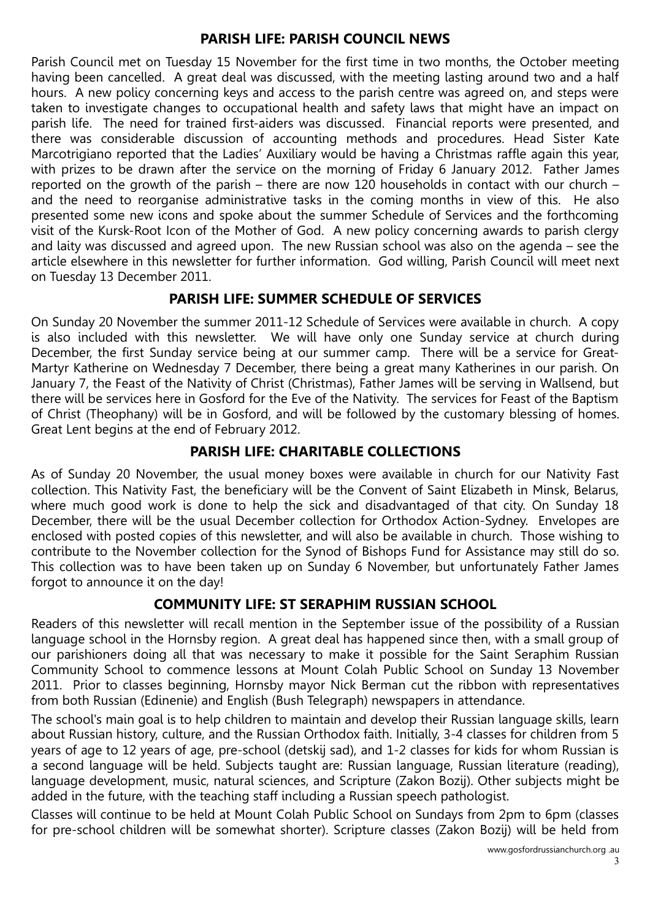#### **PARISH LIFE: PARISH COUNCIL NEWS**

Parish Council met on Tuesday 15 November for the first time in two months, the October meeting having been cancelled. A great deal was discussed, with the meeting lasting around two and a half hours. A new policy concerning keys and access to the parish centre was agreed on, and steps were taken to investigate changes to occupational health and safety laws that might have an impact on parish life. The need for trained first-aiders was discussed. Financial reports were presented, and there was considerable discussion of accounting methods and procedures. Head Sister Kate Marcotrigiano reported that the Ladies' Auxiliary would be having a Christmas raffle again this year, with prizes to be drawn after the service on the morning of Friday 6 January 2012. Father James reported on the growth of the parish – there are now 120 households in contact with our church – and the need to reorganise administrative tasks in the coming months in view of this. He also presented some new icons and spoke about the summer Schedule of Services and the forthcoming visit of the Kursk-Root Icon of the Mother of God. A new policy concerning awards to parish clergy and laity was discussed and agreed upon. The new Russian school was also on the agenda – see the article elsewhere in this newsletter for further information. God willing, Parish Council will meet next on Tuesday 13 December 2011.

# **PARISH LIFE: SUMMER SCHEDULE OF SERVICES**

On Sunday 20 November the summer 2011-12 Schedule of Services were available in church. A copy is also included with this newsletter. We will have only one Sunday service at church during December, the first Sunday service being at our summer camp. There will be a service for Great-Martyr Katherine on Wednesday 7 December, there being a great many Katherines in our parish. On January 7, the Feast of the Nativity of Christ (Christmas), Father James will be serving in Wallsend, but there will be services here in Gosford for the Eve of the Nativity. The services for Feast of the Baptism of Christ (Theophany) will be in Gosford, and will be followed by the customary blessing of homes. Great Lent begins at the end of February 2012.

# **PARISH LIFE: CHARITABLE COLLECTIONS**

As of Sunday 20 November, the usual money boxes were available in church for our Nativity Fast collection. This Nativity Fast, the beneficiary will be the Convent of Saint Elizabeth in Minsk, Belarus, where much good work is done to help the sick and disadvantaged of that city. On Sunday 18 December, there will be the usual December collection for Orthodox Action-Sydney. Envelopes are enclosed with posted copies of this newsletter, and will also be available in church. Those wishing to contribute to the November collection for the Synod of Bishops Fund for Assistance may still do so. This collection was to have been taken up on Sunday 6 November, but unfortunately Father James forgot to announce it on the day!

# **COMMUNITY LIFE: ST SERAPHIM RUSSIAN SCHOOL**

Readers of this newsletter will recall mention in the September issue of the possibility of a Russian language school in the Hornsby region. A great deal has happened since then, with a small group of our parishioners doing all that was necessary to make it possible for the Saint Seraphim Russian Community School to commence lessons at Mount Colah Public School on Sunday 13 November 2011. Prior to classes beginning, Hornsby mayor Nick Berman cut the ribbon with representatives from both Russian (Edinenie) and English (Bush Telegraph) newspapers in attendance.

The school's main goal is to help children to maintain and develop their Russian language skills, learn about Russian history, culture, and the Russian Orthodox faith. Initially, 3-4 classes for children from 5 years of age to 12 years of age, pre-school (detskij sad), and 1-2 classes for kids for whom Russian is a second language will be held. Subjects taught are: Russian language, Russian literature (reading), language development, music, natural sciences, and Scripture (Zakon Bozij). Other subjects might be added in the future, with the teaching staff including a Russian speech pathologist.

Classes will continue to be held at Mount Colah Public School on Sundays from 2pm to 6pm (classes for pre-school children will be somewhat shorter). Scripture classes (Zakon Bozij) will be held from